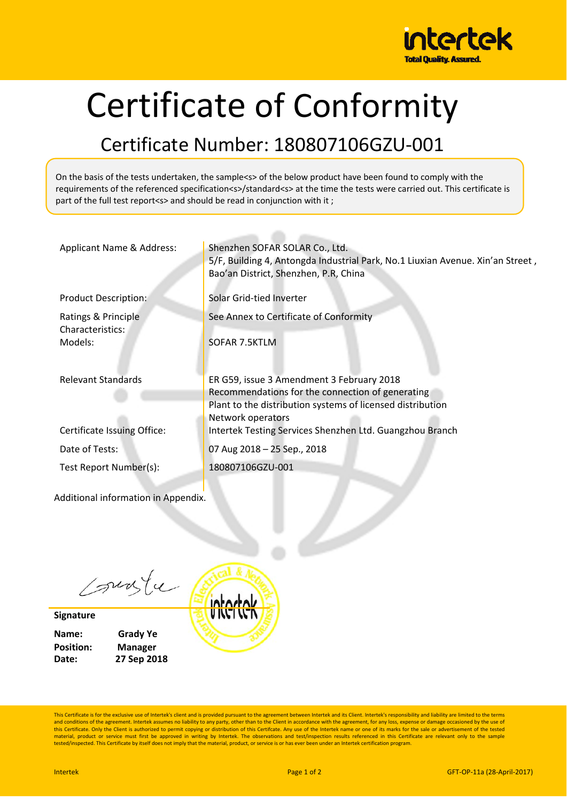

## Certificate of Conformity

## Certificate Number: 180807106GZU‐001

On the basis of the tests undertaken, the sample<s> of the below product have been found to comply with the requirements of the referenced specification<s>/standard<s> at the time the tests were carried out. This certificate is part of the full test report<s> and should be read in conjunction with it;

| Applicant Name & Address:           | Shenzhen SOFAR SOLAR Co., Ltd.<br>5/F, Building 4, Antongda Industrial Park, No.1 Liuxian Avenue. Xin'an Street,<br>Bao'an District, Shenzhen, P.R, China |
|-------------------------------------|-----------------------------------------------------------------------------------------------------------------------------------------------------------|
| <b>Product Description:</b>         | Solar Grid-tied Inverter                                                                                                                                  |
| Ratings & Principle                 | See Annex to Certificate of Conformity                                                                                                                    |
| Characteristics:                    |                                                                                                                                                           |
| Models:                             | SOFAR 7.5KTLM                                                                                                                                             |
| <b>Relevant Standards</b>           | ER G59, issue 3 Amendment 3 February 2018                                                                                                                 |
|                                     | Recommendations for the connection of generating                                                                                                          |
|                                     | Plant to the distribution systems of licensed distribution                                                                                                |
|                                     | Network operators                                                                                                                                         |
| Certificate Issuing Office:         | Intertek Testing Services Shenzhen Ltd. Guangzhou Branch                                                                                                  |
| Date of Tests:                      | 07 Aug 2018 - 25 Sep., 2018                                                                                                                               |
| Test Report Number(s):              | 180807106GZU-001                                                                                                                                          |
|                                     |                                                                                                                                                           |
| Additional information in Appendix. |                                                                                                                                                           |

sunte

**Signature**

| Name:            | <b>Grady Ye</b> |
|------------------|-----------------|
| <b>Position:</b> | Manager         |
| Date:            | 27 Sep 2018     |



This Certificate is for the exclusive use of Intertek's client and is provided pursuant to the agreement between Intertek and its Client. Intertek's responsibility and liability are limited to the terms and conditions of the agreement. Intertek assumes no liability to any party, other than to the Client in accordance with the agreement, for any loss, expense or damage occasioned by the use of<br>this Certificate. Only the Cl material, product or service must first be approved in writing by Intertek. The observations and test/inspection results referenced in this Certificate are relevant only to the sample<br>tested/inspected. This Certificate by